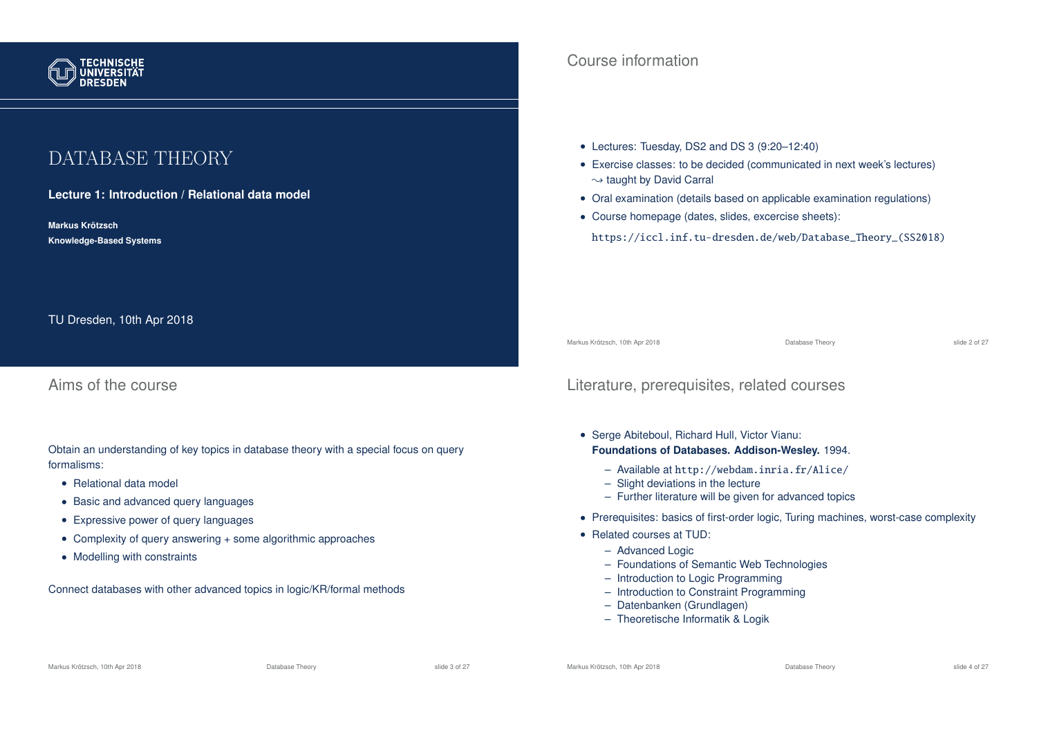

# DATABASE THEORY

**Lecture 1: Introduction / Relational data model**

**Markus Krotzsch ¨ Knowledge-Based Systems**

TU Dresden, 10th Apr 2018

Aims of the course

Obtain an understanding of key topics in database theory with a special focus on query formalisms:

- Relational data model
- Basic and advanced query languages
- Expressive power of query languages
- Complexity of query answering + some algorithmic approaches
- Modelling with constraints

Connect databases with other advanced topics in logic/KR/formal methods

### Course information

- Lectures: Tuesday, DS2 and DS 3 (9:20–12:40)
- Exercise classes: to be decided (communicated in next week's lectures)  $\rightsquigarrow$  taught by David Carral
- Oral examination (details based on applicable examination regulations)
- Course homepage (dates, slides, excercise sheets):

https://iccl.inf.tu-dresden.de/web/Database\_Theory\_(SS2018)

Markus Krötzsch, 10th Apr 2018 Database Theory slide 2 of 27

### Literature, prerequisites, related courses

- Serge Abiteboul, Richard Hull, Victor Vianu: **Foundations of Databases. Addison-Wesley.** 1994.
	- Available at http://webdam.inria.fr/Alice/
	- Slight deviations in the lecture
	- Further literature will be given for advanced topics
- Prerequisites: basics of first-order logic, Turing machines, worst-case complexity
- Related courses at TUD:
	- Advanced Logic
	- Foundations of Semantic Web Technologies
	- Introduction to Logic Programming
	- Introduction to Constraint Programming
	- Datenbanken (Grundlagen)
	- Theoretische Informatik & Logik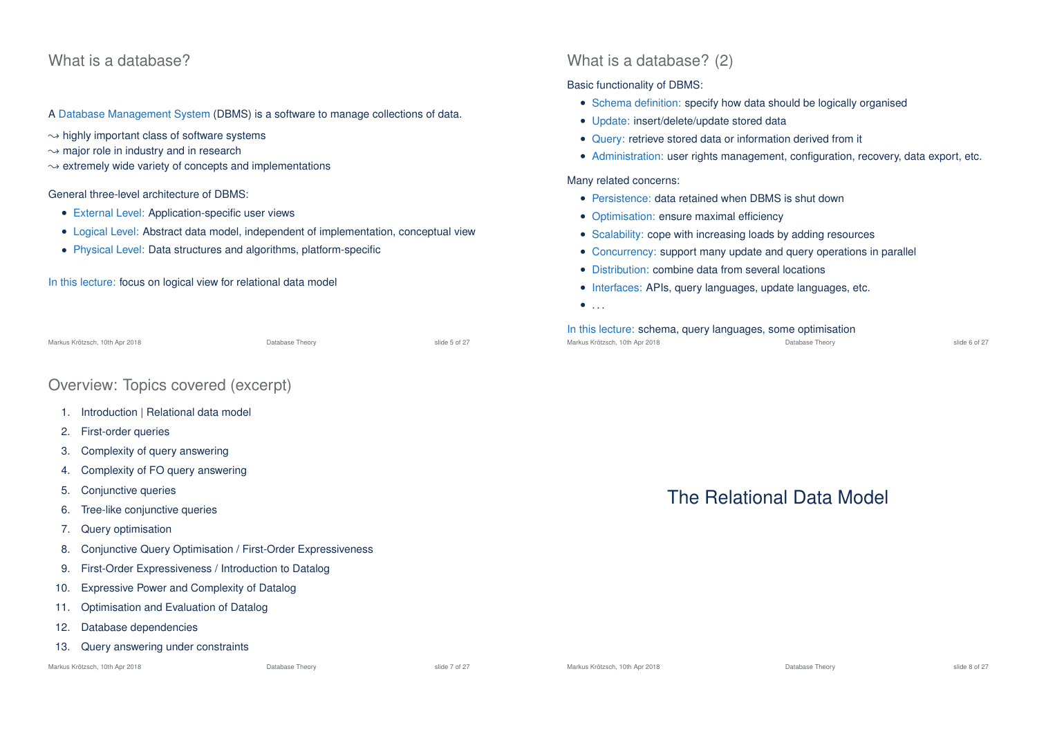### What is a database?

A Database Management System (DBMS) is a software to manage collections of data.

- $\rightarrow$  highly important class of software systems
- $\rightarrow$  major role in industry and in research
- $\rightarrow$  extremely wide variety of concepts and implementations

#### General three-level architecture of DBMS:

- External Level: Application-specific user views
- Logical Level: Abstract data model, independent of implementation, conceptual view
- Physical Level: Data structures and algorithms, platform-specific

In this lecture: focus on logical view for relational data model

Markus Krötzsch, 10th Apr 2018 Database Theory slide 5 of 27

### Overview: Topics covered (excerpt)

- 1. Introduction | Relational data model
- 2. First-order queries
- 3. Complexity of query answering
- 4. Complexity of FO query answering
- 5. Conjunctive queries
- 6. Tree-like conjunctive queries
- 7. Query optimisation
- 8. Conjunctive Query Optimisation / First-Order Expressiveness
- 9. First-Order Expressiveness / Introduction to Datalog
- 10. Expressive Power and Complexity of Datalog
- 11. Optimisation and Evaluation of Datalog
- 12. Database dependencies
- 13. Query answering under constraints

Markus Krötzsch, 10th Apr 2018 **Database Theory** Database Theory slide 7 of 27 slide 7 of 27

### What is a database? (2)

#### Basic functionality of DBMS:

- Schema definition: specify how data should be logically organised
- Update: insert/delete/update stored data
- Query: retrieve stored data or information derived from it
- Administration: user rights management, configuration, recovery, data export, etc.

#### Many related concerns:

- Persistence: data retained when DBMS is shut down
- Optimisation: ensure maximal efficiency
- Scalability: cope with increasing loads by adding resources
- Concurrency: support many update and query operations in parallel
- Distribution: combine data from several locations
- Interfaces: APIs, query languages, update languages, etc.
- $\bullet$  . . . .

#### In this lecture: schema, query languages, some optimisation Markus Krötzsch, 10th Apr 2018 Database Theory slide 6 of 27



# The Relational Data Model

Markus Krötzsch, 10th Apr 2018 **Database Theory** Database Theory **State State 3 of 27** and 27 and 27 and 27 and 27 and 27 and 27 and 27 and 27 and 27 and 27 and 27 and 27 and 27 and 27 and 27 and 27 and 27 and 27 and 27 an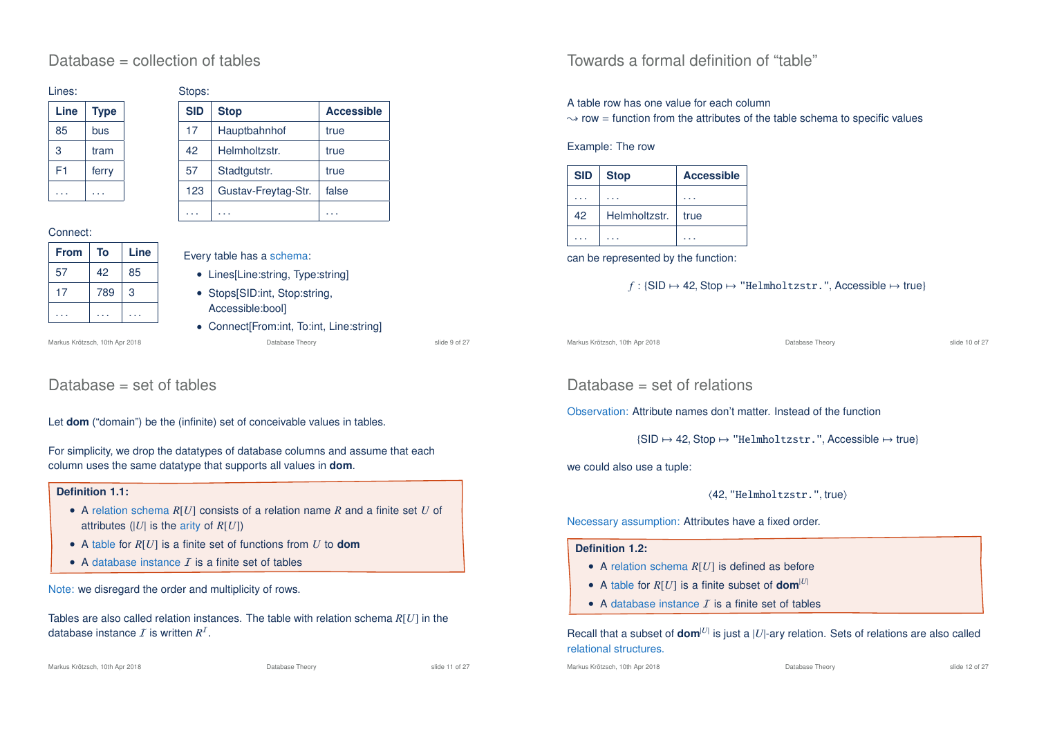### Database = collection of tables

| Lines: |             |  |
|--------|-------------|--|
| Line   | <b>Type</b> |  |
| 85     | bus         |  |
| 3      | tram        |  |
| F1     | ferry       |  |
|        |             |  |

### Stopp:

| ບເບບບ.     |                     |                   |  |  |
|------------|---------------------|-------------------|--|--|
| <b>SID</b> | <b>Stop</b>         | <b>Accessible</b> |  |  |
| 17         | Hauptbahnhof        | true              |  |  |
| 42         | Helmholtzstr.       | true              |  |  |
| 57         | Stadtgutstr.        | true              |  |  |
| 123        | Gustav-Freytag-Str. | false             |  |  |
|            |                     |                   |  |  |

#### Connect:

| <b>From</b> | To  | Line |
|-------------|-----|------|
| 57          | 42  | 85   |
| 17          | 789 | 3    |
|             |     |      |

### Every table has a schema:

- Lines[Line:string, Type:string]
- Stops[SID:int, Stop:string, Accessible:bool]
- Connect[From:int, To:int, Line:string] Markus Krötzsch, 10th Apr 2018 Database Theory slide 9 of 27

### Database = set of tables

Let **dom** ("domain") be the (infinite) set of conceivable values in tables.

For simplicity, we drop the datatypes of database columns and assume that each column uses the same datatype that supports all values in **dom**.

### **Definition 1.1:**

- A relation schema *R*[*U*] consists of a relation name *R* and a finite set *U* of attributes (|*U*| is the arity of *R*[*U*])
- A table for *R*[*U*] is a finite set of functions from *U* to **dom**
- A database instance  $\bar{I}$  is a finite set of tables

Note: we disregard the order and multiplicity of rows.

Tables are also called relation instances. The table with relation schema *R*[*U*] in the database instance  $I$  is written  $R^I$ .

### Towards a formal definition of "table"

#### A table row has one value for each column

 $\rightarrow$  row = function from the attributes of the table schema to specific values

#### Example: The row

| <b>SID</b> | <b>Stop</b>   | <b>Accessible</b> |
|------------|---------------|-------------------|
|            |               |                   |
| 42         | Helmholtzstr. | true              |
|            |               |                   |

can be represented by the function:

$$
f: \{\text{SID} \mapsto \text{42}, \text{Stop} \mapsto \text{"Helmholtzstr."}, \text{Accessible} \mapsto \text{true}\}
$$

Markus Krötzsch, 10th Apr 2018 Database Theory slide 10 of 27

Database = set of relations

Observation: Attribute names don't matter. Instead of the function

 $\{SID \mapsto 42, \text{Stop} \mapsto \text{"Helmholtzstr." }$  Accessible  $\mapsto$  true}

we could also use a tuple:

(42, "Helmholtzstr.", true)

Necessary assumption: Attributes have a fixed order.

#### Definition 1.2<sup>.</sup>

- A relation schema *R*[*U*] is defined as before
- A table for  $R[U]$  is a finite subset of **dom**<sup>[U]</sup>
- A database instance  $\bar{I}$  is a finite set of tables

Recall that a subset of  $\text{dom}^{|U|}$  is just a  $|U|$ -ary relation. Sets of relations are also called relational structures.

Markus Krötzsch, 10th Apr 2018 Database Theory slide 12 of 27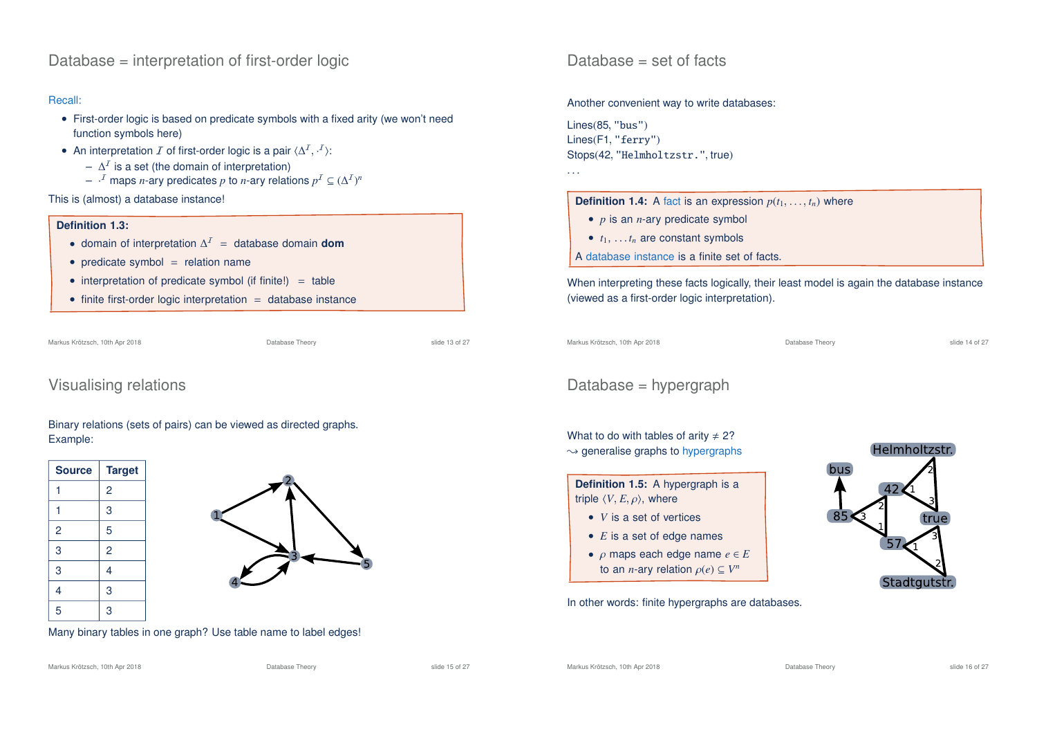Database = interpretation of first-order logic

#### Recall:

- First-order logic is based on predicate symbols with a fixed arity (we won't need function symbols here)
- An interpretation  $\mathcal I$  of first-order logic is a pair  $\langle \Delta^{\mathcal I}, \cdot^{\mathcal I}\rangle$ :
	- $\Delta^{\prime}$  is a set (the domain of interpretation)
	- $P^{-1}$  maps *n*-ary predicates *p* to *n*-ary relations  $p^I \subseteq (\Delta^I)^n$

This is (almost) a database instance!

#### **Definition 1.3:**

- domain of interpretation ∆ <sup>I</sup> = database domain **dom**
- $\bullet$  predicate symbol = relation name
- interpretation of predicate symbol (if finite!)  $=$  table
- $\bullet$  finite first-order logic interpretation  $=$  database instance

Markus Krötzsch, 10th Apr 2018 Database Theory slide 13 of 27

### Visualising relations

### Binary relations (sets of pairs) can be viewed as directed graphs. Example:



Many binary tables in one graph? Use table name to label edges!

Database  $=$  set of facts

#### Another convenient way to write databases:

Lines(85, "bus") Lines(F1, "ferry") Stops(42, "Helmholtzstr.", true)



- *p* is an *n*-ary predicate symbol
- $\bullet$   $t_1, \ldots t_n$  are constant symbols
- A database instance is a finite set of facts.

When interpreting these facts logically, their least model is again the database instance (viewed as a first-order logic interpretation).



. . .

# Database = hypergraph

### What to do with tables of arity  $\neq$  2?  $\rightarrow$  generalise graphs to hypergraphs bus **Definition 1.5:** A hypergraph is a triple  $\langle V, E, \rho \rangle$ , where • *V* is a set of vertices • *E* is a set of edge names

• ρ maps each edge name *e* ∈ *E* to an *n*-ary relation  $\rho(e) \subseteq V^n$ 

In other words: finite hypergraphs are databases.



Markus Krötzsch, 10th Apr 2018 Database Theory slide 15 of 27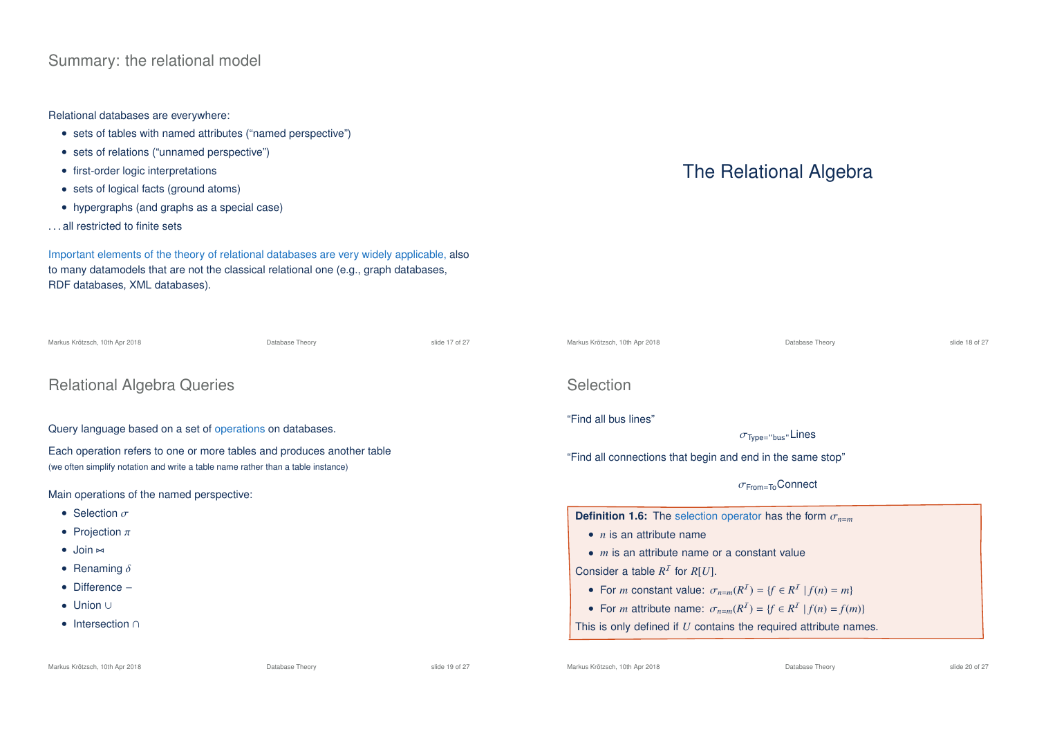## Summary: the relational model

### Relational databases are everywhere:

- sets of tables with named attributes ("named perspective")
- sets of relations ("unnamed perspective")
- first-order logic interpretations
- sets of logical facts (ground atoms)
- hypergraphs (and graphs as a special case)
- . . . all restricted to finite sets

Important elements of the theory of relational databases are very widely applicable, also to many datamodels that are not the classical relational one (e.g., graph databases, RDF databases, XML databases).

| Markus Krötzsch, 10th Apr 2018                                                                                                                             | Database Theory | slide 17 of 27                                             | Markus Krötzsch, 10th Apr 2018                                                    | Database Theory                      | slide 18 of 27 |  |
|------------------------------------------------------------------------------------------------------------------------------------------------------------|-----------------|------------------------------------------------------------|-----------------------------------------------------------------------------------|--------------------------------------|----------------|--|
| <b>Relational Algebra Queries</b>                                                                                                                          |                 |                                                            | <b>Selection</b>                                                                  |                                      |                |  |
| Query language based on a set of operations on databases.                                                                                                  |                 |                                                            | "Find all bus lines"                                                              | $\sigma$ <sub>Type="bus"</sub> Lines |                |  |
| Each operation refers to one or more tables and produces another table<br>(we often simplify notation and write a table name rather than a table instance) |                 | "Find all connections that begin and end in the same stop" |                                                                                   |                                      |                |  |
| Main operations of the named perspective:                                                                                                                  |                 |                                                            |                                                                                   | $\sigma$ <sub>From=To</sub> Connect  |                |  |
| • Selection $\sigma$                                                                                                                                       |                 |                                                            | <b>Definition 1.6:</b> The selection operator has the form $\sigma_{n=m}$         |                                      |                |  |
| • Projection $\pi$                                                                                                                                         |                 |                                                            | $\bullet$ <i>n</i> is an attribute name                                           |                                      |                |  |
| $\bullet$ Join $\bowtie$                                                                                                                                   |                 |                                                            | $\bullet$ <i>m</i> is an attribute name or a constant value                       |                                      |                |  |
| • Renaming $\delta$                                                                                                                                        |                 |                                                            | Consider a table $R^I$ for $R[U]$ .                                               |                                      |                |  |
| $\bullet$ Difference $-$                                                                                                                                   |                 |                                                            | • For <i>m</i> constant value: $\sigma_{n=m}(R^I) = \{f \in R^I   f(n) = m\}$     |                                      |                |  |
| $\bullet$ Union $\cup$                                                                                                                                     |                 |                                                            | • For <i>m</i> attribute name: $\sigma_{n=m}(R^I) = \{f \in R^I   f(n) = f(m)\}\$ |                                      |                |  |
| $\bullet$ Intersection $\cap$                                                                                                                              |                 |                                                            | This is only defined if $U$ contains the required attribute names.                |                                      |                |  |
|                                                                                                                                                            |                 |                                                            |                                                                                   |                                      |                |  |

The Relational Algebra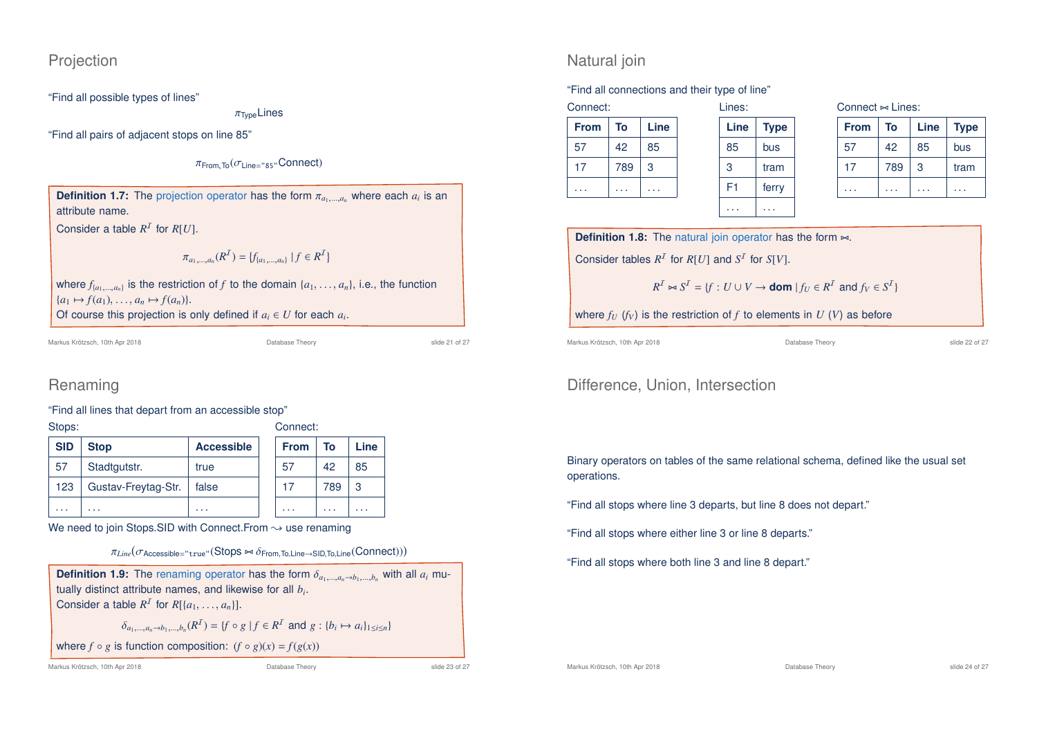### Projection

"Find all possible types of lines"

 $\pi_{\text{Two}}$ Lines

"Find all pairs of adjacent stops on line 85"

 $\pi$ <sub>From</sub> T<sub>o</sub> $(\sigma)$ <sub>ine="85"</sub>Connect)

**Definition 1.7:** The projection operator has the form  $\pi_{a_1,\dots,a_n}$  where each  $a_i$  is an attribute name.

Consider a table  $R^1$  for  $R[U]$ .

$$
\pi_{a_1,\dots,a_n}(R^{\mathcal{I}}) = \{f_{\{a_1,\dots,a_n\}} \mid f \in R^{\mathcal{I}}\}
$$

where  $f_{\{a_1,\ldots,a_n\}}$  is the restriction of *f* to the domain  $\{a_1,\ldots,a_n\}$ , i.e., the function  ${a_1 \mapsto f(a_1), \dots, a_n \mapsto f(a_n)}.$ Of course this projection is only defined if  $a_i \in U$  for each  $a_i$ .

Markus Krötzsch, 10th Apr 2018 Database Theory slide 21 of 27

# Renaming

"Find all lines that depart from an accessible stop"

| Stops:     |                     |                   | Connect:    |     |      |
|------------|---------------------|-------------------|-------------|-----|------|
| <b>SID</b> | <b>Stop</b>         | <b>Accessible</b> | <b>From</b> | To  | Line |
| 57         | Stadtgutstr.        | true              | 57          | 42  | 85   |
| 123        | Gustav-Freytag-Str. | false             | 17          | 789 | 3    |
| .          | .                   | .                 | .           | .   | .    |

We need to join Stops.SID with Connect.From  $\sim$  use renaming

```
\pi_{Line}(\sigma_{\text{Accessible}=\text{"true"}}(\text{Stops} \Join \delta_{\text{From},\text{To},\text{Line} \rightarrow \text{SID},\text{To},\text{Line}}(\text{Connect})))
```

| <b>Definition 1.9:</b> The renaming operator has the form $\delta_{a_1,,a_n\to b_1,,b_n}$ with all $a_i$ mu- |  |
|--------------------------------------------------------------------------------------------------------------|--|
| tually distinct attribute names, and likewise for all $b_i$ .                                                |  |
| Consider a table $R^I$ for $R[\{a_1, \ldots, a_n\}]$ .                                                       |  |

 $\delta_{a_1,...,a_n \to b_1,...,b_n}(R^I) = \{f \circ g \mid f \in R^I \text{ and } g : \{b_i \mapsto a_i\}_{1 \le i \le n}\}$ 

where 
$$
f \circ g
$$
 is function composition:  $(f \circ g)(x) = f(g(x))$ 

Markus Krötzsch, 10th Apr 2018 Database Theory slide 23 of 27

## Natural join

### "Find all connections and their type of line"

| <b>From</b> | To  | Line |
|-------------|-----|------|
| 57          | 42  | 85   |
| 17          | 789 | 3    |
|             |     |      |

| Lines: |             | Co |
|--------|-------------|----|
| Line   | <b>Type</b> | F  |
| 85     | bus         | 5  |
| 3      | tram        |    |
| F1     | ferry       |    |
|        |             |    |

| Connect $\Join$ Lines: |  |
|------------------------|--|
|                        |  |

| <b>From</b> | To  | Line | <b>Type</b> |
|-------------|-----|------|-------------|
| 57          | 42  | 85   | bus         |
| 17          | 789 | 3    | tram        |
|             |     |      |             |

**Definition 1.8:** The natural join operator has the form  $\bowtie$ .

Consider tables  $R^1$  for  $R[U]$  and  $S^1$  for  $S[V]$ .

$$
R^{\mathcal{I}} \bowtie S^{\mathcal{I}} = \{f: U \cup V \rightarrow \textbf{dom} \mid f_U \in R^{\mathcal{I}} \text{ and } f_V \in S^{\mathcal{I}}\}
$$

where  $f_U$  ( $f_V$ ) is the restriction of  $f$  to elements in  $U$  ( $V$ ) as before

. . . . . .

Markus Krötzsch, 10th Apr 2018 Database Theory slide 22 of 27

# Difference, Union, Intersection

Binary operators on tables of the same relational schema, defined like the usual set operations.

"Find all stops where line 3 departs, but line 8 does not depart."

"Find all stops where either line 3 or line 8 departs."

"Find all stops where both line 3 and line 8 depart."

Markus Krötzsch, 10th Apr 2018 Database Theory slide 24 of 27